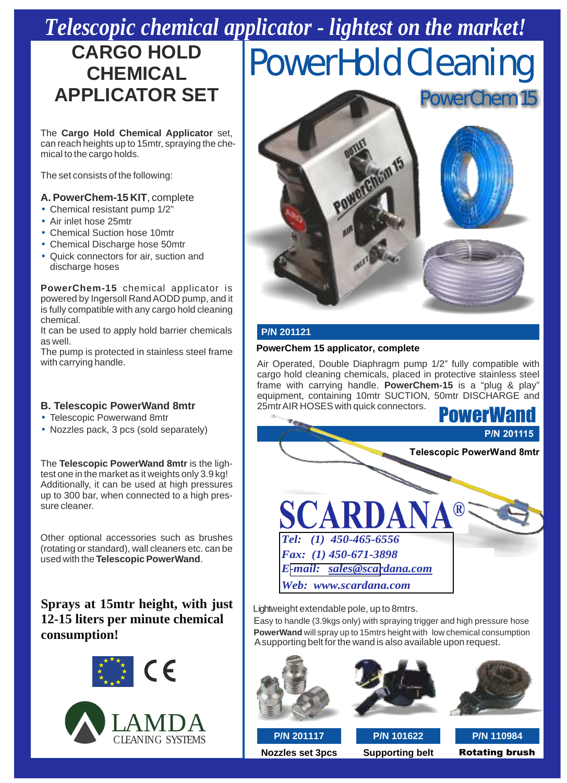## *Telescopic chemical applicator - lightest on the market!*

## **CARGO HOLD<br>CHEMICAL**

The **Cargo Hold Chemical Applicator** set, can reach heights up to 15mtr, spraying the chemical to the cargo holds.

The set consists of the following:

### **A. PowerChem-15 KIT**, complete

- Chemical resistant pump 1/2"
- Air inlet hose 25mtr
- Chemical Suction hose 10mtr
- Chemical Discharge hose 50mtr
- Quick connectors for air, suction and discharge hoses

**PowerChem-15** chemical applicator is powered by Ingersoll Rand AODD pump, and it is fully compatible with any cargo hold cleaning chemical.

It can be used to apply hold barrier chemicals **P/N 201121** as well.

**PowerChem 15 applicator, complete**<br>
With carrying handle.<br>
With carrying handle.<br>
The pump is protected in stainless steel frame<br>
Air Operated. Double Diaphragm pum

- Telescopic Powerwand 8mtr
- Nozzles pack, 3 pcs (sold separately)

The **Telescopic PowerWand 8mtr** is the lightest one in the market as it weights only 3.9 kg! Additionally, it can be used at high pressures up to 300 bar, when connected to a high pressure cleaner.

Other optional accessories such as brushes (rotating or standard), wall cleaners etc. can be used with the **Telescopic PowerWand**.

### **Sprays at 15mtr height, with just** 12-15 liters per minute chemical **consumption!**





**HP Nozzles Spray guns, repair kits High Pressure extension hoses Extension cables, with water proof**

# **CARGO HOLD POWERHOLD CHEMICAL POWERHOLD CHEMICAL**



Air Operated, Double Diaphragm pump 1/2" fully compatible with cargo hold cleaning chemicals, placed in protective stainless steel frame with carrying handle. **PowerChem-15** is a "plug & play" equipment, containing 10mtr SUCTION, 50mtr DISCHARGE and **B. Telescopic PowerWand 8mtr** 25mtrAIR HOSES with quick connectors.



Lightweight extendable pole, up to 8mtrs.

Easy to handle (3.9kgs only) with spraying trigger and high pressure hose **PowerWand** will spray up to 15mtrs height with low chemical consumption A supporting belt for the wand is also available upon request.







**Nozzles set 3pcs Supporting belt** Rotating brush